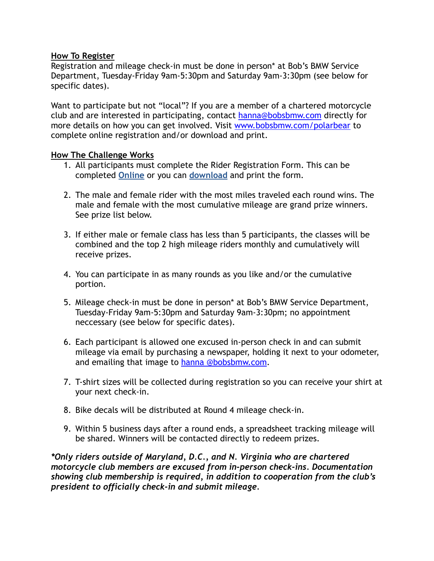### **How To Register**

Registration and mileage check-in must be done in person\* at Bob's BMW Service Department, Tuesday-Friday 9am-5:30pm and Saturday 9am-3:30pm (see below for specific dates).

Want to participate but not "local"? If you are a member of a chartered motorcycle club and are interested in participating, contact [hanna@bobsbmw.com](mailto:hanna@bobsbmw.com) directly for more details on how you can get involved. Visit [www.bobsbmw.com/polarbear](http://www.bobsbmw.com/polarbear) to complete online registration and/or download and print.

## **How The Challenge Works**

- 1. All participants must complete the Rider Registration Form. This can be completed **[Online](http://www.bobsbmw.com/community/photo-albums-and-videos-2/bobs-events-2014/rider-registration-form/)** or you can **[download](http://www.bobsbmw.com/wp-content/uploads/new/2014/10/Rider-Registration1.pdf)** and print the form.
- 2. The male and female rider with the most miles traveled each round wins. The male and female with the most cumulative mileage are grand prize winners. See prize list below.
- 3. If either male or female class has less than 5 participants, the classes will be combined and the top 2 high mileage riders monthly and cumulatively will receive prizes.
- 4. You can participate in as many rounds as you like and/or the cumulative portion.
- 5. Mileage check-in must be done in person\* at Bob's BMW Service Department, Tuesday-Friday 9am-5:30pm and Saturday 9am-3:30pm; no appointment neccessary (see below for specific dates).
- 6. Each participant is allowed one excused in-person check in and can submit mileage via email by purchasing a newspaper, holding it next to your odometer, and emailing that image to [hanna @bobsbmw.com.](mailto:hanna.creekmore@bobsbmw.com)
- 7. T-shirt sizes will be collected during registration so you can receive your shirt at your next check-in.
- 8. Bike decals will be distributed at Round 4 mileage check-in.
- 9. Within 5 business days after a round ends, a spreadsheet tracking mileage will be shared. Winners will be contacted directly to redeem prizes.

*\*Only riders outside of Maryland, D.C., and N. Virginia who are chartered motorcycle club members are excused from in-person check-ins. Documentation showing club membership is required, in addition to cooperation from the club's president to officially check-in and submit mileage.*